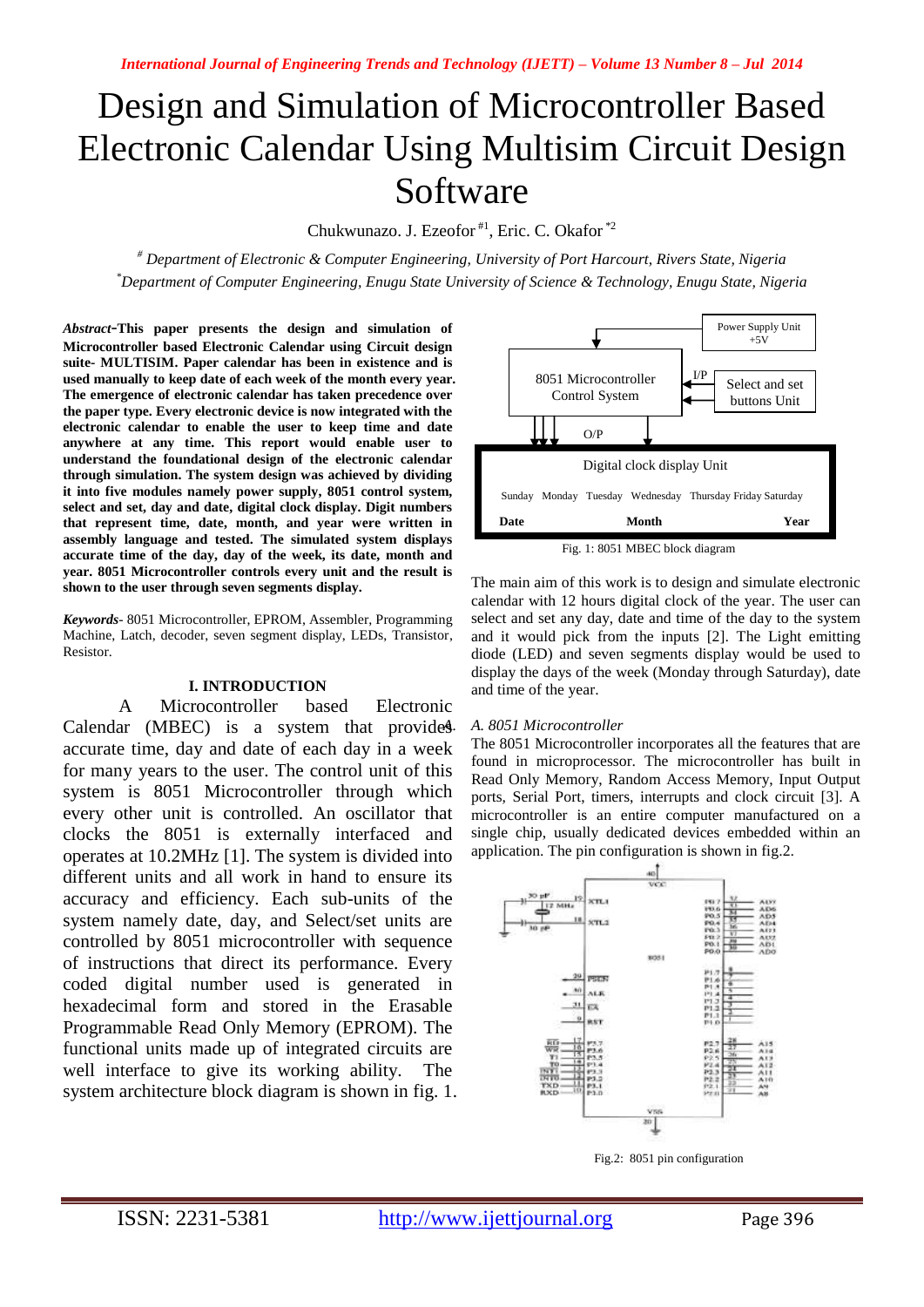# Design and Simulation of Microcontroller Based Electronic Calendar Using Multisim Circuit Design Software

Chukwunazo. J. Ezeofor<sup>#1</sup>, Eric. C. Okafor<sup>\*2</sup>

*# Department of Electronic & Computer Engineering, University of Port Harcourt, Rivers State, Nigeria \*Department of Computer Engineering, Enugu State University of Science & Technology, Enugu State, Nigeria*

*Abstract*-**This paper presents the design and simulation of Microcontroller based Electronic Calendar using Circuit design suite- MULTISIM. Paper calendar has been in existence and is used manually to keep date of each week of the month every year. The emergence of electronic calendar has taken precedence over the paper type. Every electronic device is now integrated with the electronic calendar to enable the user to keep time and date anywhere at any time. This report would enable user to understand the foundational design of the electronic calendar through simulation. The system design was achieved by dividing it into five modules namely power supply, 8051 control system, select and set, day and date, digital clock display. Digit numbers that represent time, date, month, and year were written in assembly language and tested. The simulated system displays accurate time of the day, day of the week, its date, month and year. 8051 Microcontroller controls every unit and the result is shown to the user through seven segments display.** 

*Keywords*- 8051 Microcontroller, EPROM, Assembler, Programming Machine, Latch, decoder, seven segment display, LEDs, Transistor, Resistor.

# **I. INTRODUCTION**

A Microcontroller based Electronic Calendar (MBEC) is a system that provides accurate time, day and date of each day in a week for many years to the user. The control unit of this system is 8051 Microcontroller through which every other unit is controlled. An oscillator that clocks the 8051 is externally interfaced and operates at 10.2MHz [1]. The system is divided into different units and all work in hand to ensure its accuracy and efficiency. Each sub-units of the system namely date, day, and Select/set units are controlled by 8051 microcontroller with sequence of instructions that direct its performance. Every coded digital number used is generated in hexadecimal form and stored in the Erasable Programmable Read Only Memory (EPROM). The functional units made up of integrated circuits are well interface to give its working ability. The system architecture block diagram is shown in fig. 1.



Fig. 1: 8051 MBEC block diagram

The main aim of this work is to design and simulate electronic calendar with 12 hours digital clock of the year. The user can select and set any day, date and time of the day to the system and it would pick from the inputs [2]. The Light emitting diode (LED) and seven segments display would be used to display the days of the week (Monday through Saturday), date and time of the year.

# *A. A. 8051 Microcontroller*

The 8051 Microcontroller incorporates all the features that are found in microprocessor. The microcontroller has built in Read Only Memory, Random Access Memory, Input Output ports, Serial Port, timers, interrupts and clock circuit [3]. A microcontroller is an entire computer manufactured on a single chip, usually dedicated devices embedded within an application. The pin configuration is shown in fig.2.



Fig.2: 8051 pin configuration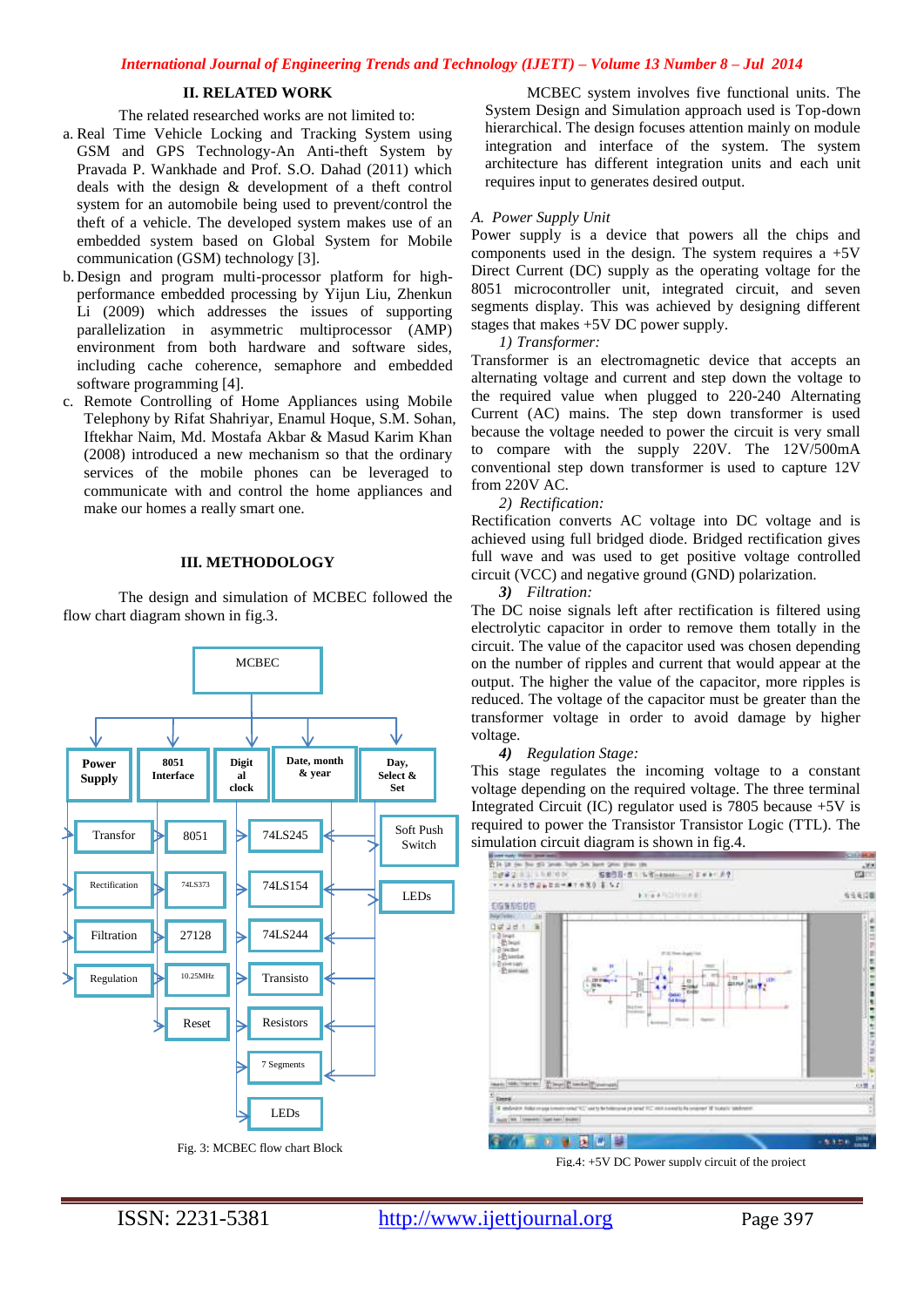# **II. RELATED WORK**

The related researched works are not limited to:

- a. Real Time Vehicle Locking and Tracking System using GSM and GPS Technology-An Anti-theft System by Pravada P. Wankhade and Prof. S.O. Dahad (2011) which deals with the design & development of a theft control system for an automobile being used to prevent/control the theft of a vehicle. The developed system makes use of an embedded system based on Global System for Mobile communication (GSM) technology [3].
- b. Design and program multi-processor platform for highperformance embedded processing by Yijun Liu, Zhenkun Li (2009) which addresses the issues of supporting parallelization in asymmetric multiprocessor (AMP) environment from both hardware and software sides, including cache coherence, semaphore and embedded software programming [4].
- c. Remote Controlling of Home Appliances using Mobile Telephony by Rifat Shahriyar, Enamul Hoque, S.M. Sohan, Iftekhar Naim, Md. Mostafa Akbar & Masud Karim Khan (2008) introduced a new mechanism so that the ordinary services of the mobile phones can be leveraged to communicate with and control the home appliances and make our homes a really smart one.

## **III. METHODOLOGY**

The design and simulation of MCBEC followed the flow chart diagram shown in fig.3.



MCBEC system involves five functional units. The System Design and Simulation approach used is Top-down hierarchical. The design focuses attention mainly on module integration and interface of the system. The system architecture has different integration units and each unit requires input to generates desired output.

## *A. Power Supply Unit*

Power supply is a device that powers all the chips and components used in the design. The system requires  $a +5V$ Direct Current (DC) supply as the operating voltage for the 8051 microcontroller unit, integrated circuit, and seven segments display. This was achieved by designing different stages that makes +5V DC power supply.

*1) Transformer:*

Transformer is an electromagnetic device that accepts an alternating voltage and current and step down the voltage to the required value when plugged to 220-240 Alternating Current (AC) mains. The step down transformer is used because the voltage needed to power the circuit is very small to compare with the supply 220V. The 12V/500mA conventional step down transformer is used to capture 12V from 220V AC.

### *2) Rectification:*

Rectification converts AC voltage into DC voltage and is achieved using full bridged diode. Bridged rectification gives full wave and was used to get positive voltage controlled circuit (VCC) and negative ground (GND) polarization.

*3) Filtration:*

The DC noise signals left after rectification is filtered using electrolytic capacitor in order to remove them totally in the circuit. The value of the capacitor used was chosen depending on the number of ripples and current that would appear at the output. The higher the value of the capacitor, more ripples is reduced. The voltage of the capacitor must be greater than the transformer voltage in order to avoid damage by higher voltage.

*4) Regulation Stage:*

This stage regulates the incoming voltage to a constant voltage depending on the required voltage. The three terminal Integrated Circuit (IC) regulator used is 7805 because +5V is required to power the Transistor Transistor Logic (TTL). The



Fig.4:  $+5V$  DC Power supply circuit of the project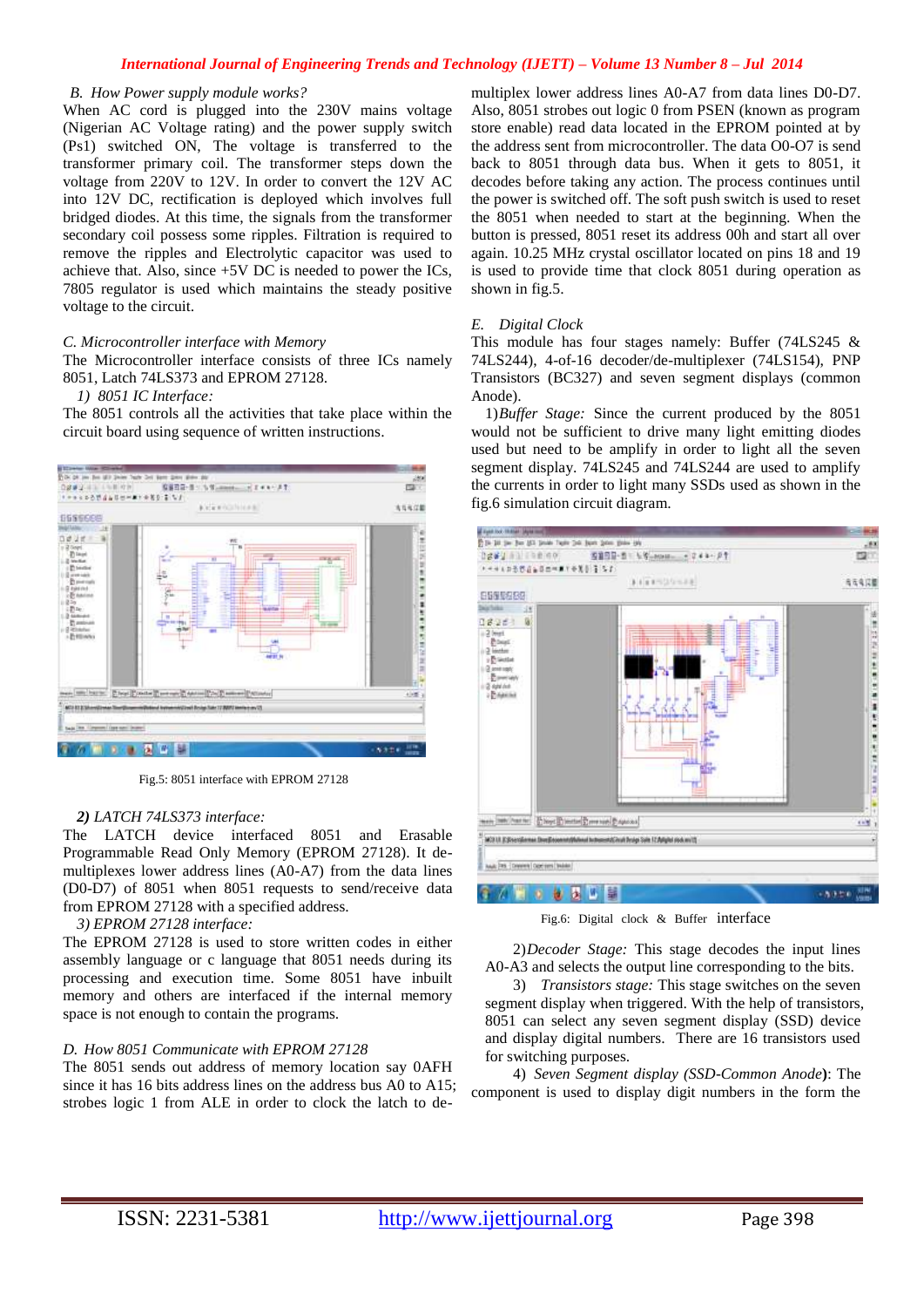# *International Journal of Engineering Trends and Technology (IJETT) – Volume 13 Number 8 – Jul 2014*

## *B. How Power supply module works?*

When AC cord is plugged into the 230V mains voltage (Nigerian AC Voltage rating) and the power supply switch (Ps1) switched ON, The voltage is transferred to the transformer primary coil. The transformer steps down the voltage from 220V to 12V. In order to convert the 12V AC into 12V DC, rectification is deployed which involves full bridged diodes. At this time, the signals from the transformer secondary coil possess some ripples. Filtration is required to remove the ripples and Electrolytic capacitor was used to achieve that. Also, since +5V DC is needed to power the ICs, 7805 regulator is used which maintains the steady positive voltage to the circuit.

# *C. Microcontroller interface with Memory*

The Microcontroller interface consists of three ICs namely 8051, Latch 74LS373 and EPROM 27128.

### *1) 8051 IC Interface:*

The 8051 controls all the activities that take place within the circuit board using sequence of written instructions.



Fig.5: 8051 interface with EPROM 27128

# *2) LATCH 74LS373 interface:*

The LATCH device interfaced 8051 and Erasable Programmable Read Only Memory (EPROM 27128). It demultiplexes lower address lines (A0-A7) from the data lines (D0-D7) of 8051 when 8051 requests to send/receive data from EPROM 27128 with a specified address.

# *3) EPROM 27128 interface:*

The EPROM 27128 is used to store written codes in either assembly language or c language that 8051 needs during its processing and execution time. Some 8051 have inbuilt memory and others are interfaced if the internal memory space is not enough to contain the programs.

# *D. How 8051 Communicate with EPROM 27128*

The 8051 sends out address of memory location say 0AFH since it has 16 bits address lines on the address bus A0 to A15; strobes logic 1 from ALE in order to clock the latch to demultiplex lower address lines A0-A7 from data lines D0-D7. Also, 8051 strobes out logic 0 from PSEN (known as program store enable) read data located in the EPROM pointed at by the address sent from microcontroller. The data O0-O7 is send back to 8051 through data bus. When it gets to 8051, it decodes before taking any action. The process continues until the power is switched off. The soft push switch is used to reset the 8051 when needed to start at the beginning. When the button is pressed, 8051 reset its address 00h and start all over again. 10.25 MHz crystal oscillator located on pins 18 and 19 is used to provide time that clock 8051 during operation as shown in fig.5.

# *E. Digital Clock*

This module has four stages namely: Buffer (74LS245 & 74LS244), 4-of-16 decoder/de-multiplexer (74LS154), PNP Transistors (BC327) and seven segment displays (common Anode).

1)*Buffer Stage:* Since the current produced by the 8051 would not be sufficient to drive many light emitting diodes used but need to be amplify in order to light all the seven segment display. 74LS245 and 74LS244 are used to amplify the currents in order to light many SSDs used as shown in the fig.6 simulation circuit diagram.



Fig.6: Digital clock & Buffer interface

2)*Decoder Stage:* This stage decodes the input lines A0-A3 and selects the output line corresponding to the bits.

3) *Transistors stage:* This stage switches on the seven segment display when triggered. With the help of transistors, 8051 can select any seven segment display (SSD) device and display digital numbers. There are 16 transistors used for switching purposes.

4) *Seven Segment display (SSD-Common Anode***)**: The component is used to display digit numbers in the form the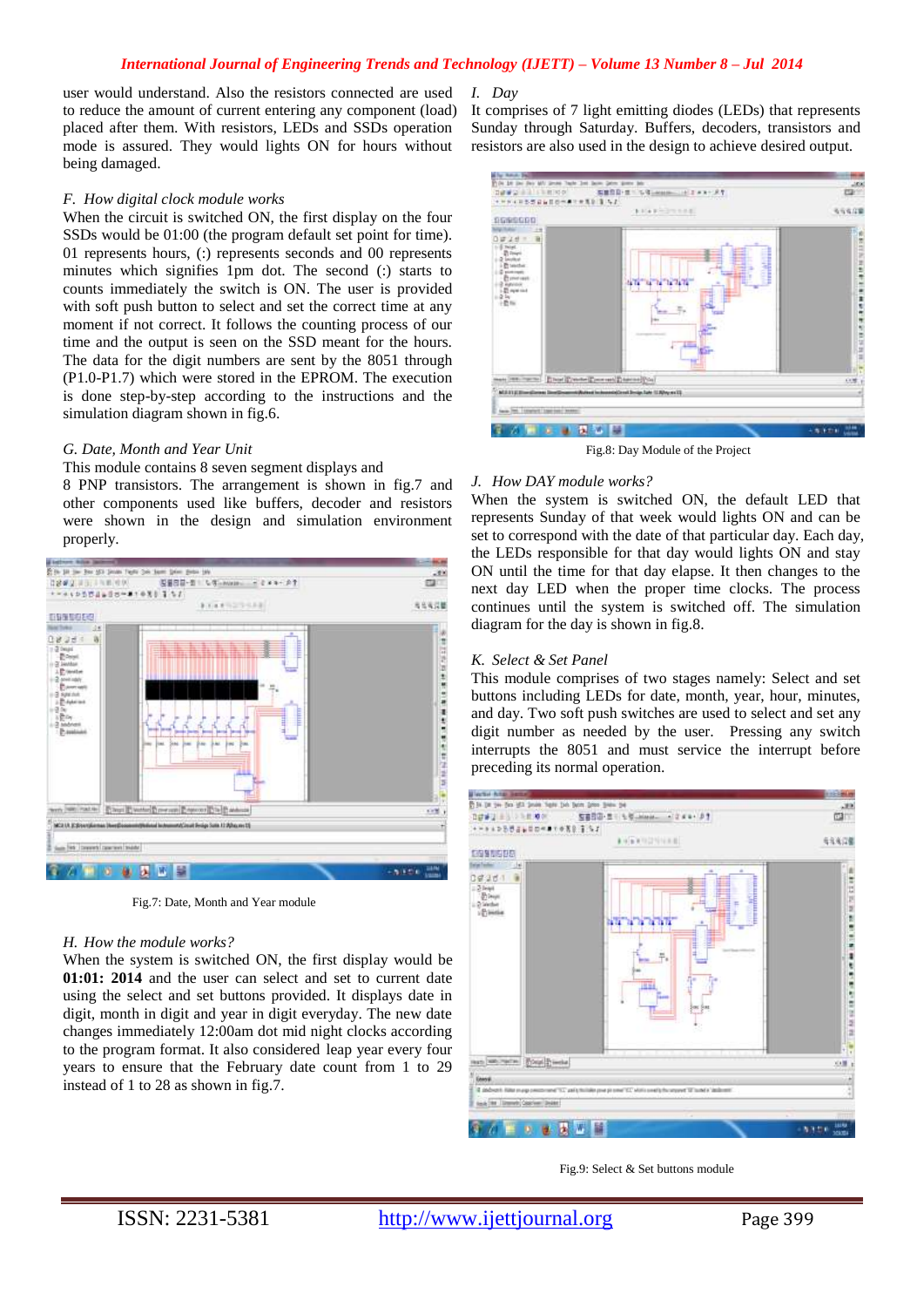## *International Journal of Engineering Trends and Technology (IJETT) – Volume 13 Number 8 – Jul 2014*

user would understand. Also the resistors connected are used to reduce the amount of current entering any component (load) placed after them. With resistors, LEDs and SSDs operation mode is assured. They would lights ON for hours without being damaged.

#### *F. How digital clock module works*

When the circuit is switched ON, the first display on the four SSDs would be 01:00 (the program default set point for time). 01 represents hours, (:) represents seconds and 00 represents minutes which signifies 1pm dot. The second (:) starts to counts immediately the switch is ON. The user is provided with soft push button to select and set the correct time at any moment if not correct. It follows the counting process of our time and the output is seen on the SSD meant for the hours. The data for the digit numbers are sent by the 8051 through (P1.0-P1.7) which were stored in the EPROM. The execution is done step-by-step according to the instructions and the simulation diagram shown in fig.6.

## *G. Date, Month and Year Unit*

#### This module contains 8 seven segment displays and

8 PNP transistors. The arrangement is shown in fig.7 and other components used like buffers, decoder and resistors were shown in the design and simulation environment properly.



Fig.7: Date, Month and Year module

#### *H. How the module works?*

When the system is switched ON, the first display would be **01:01: 2014** and the user can select and set to current date using the select and set buttons provided. It displays date in digit, month in digit and year in digit everyday. The new date changes immediately 12:00am dot mid night clocks according to the program format. It also considered leap year every four years to ensure that the February date count from 1 to 29 instead of 1 to 28 as shown in fig.7.

*I. Day*

It comprises of 7 light emitting diodes (LEDs) that represents Sunday through Saturday. Buffers, decoders, transistors and resistors are also used in the design to achieve desired output.



Fig.8: Day Module of the Project

#### *J. How DAY module works?*

When the system is switched ON, the default LED that represents Sunday of that week would lights ON and can be set to correspond with the date of that particular day. Each day, the LEDs responsible for that day would lights ON and stay ON until the time for that day elapse. It then changes to the next day LED when the proper time clocks. The process continues until the system is switched off. The simulation diagram for the day is shown in fig.8.

#### *K. Select & Set Panel*

This module comprises of two stages namely: Select and set buttons including LEDs for date, month, year, hour, minutes, and day. Two soft push switches are used to select and set any digit number as needed by the user. Pressing any switch interrupts the 8051 and must service the interrupt before preceding its normal operation.



Fig.9: Select & Set buttons module